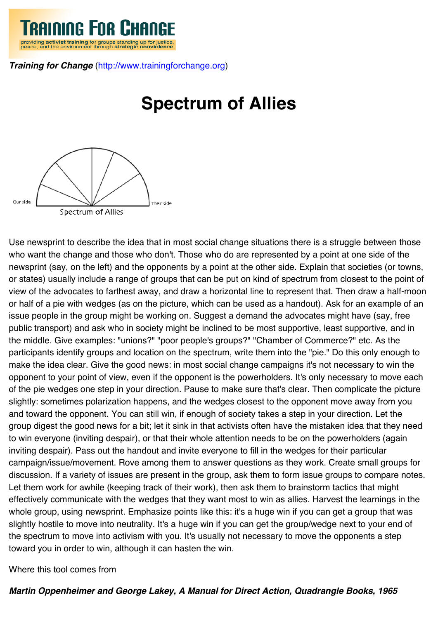

*Training for Change* [\(http://www.trainingforchange.org](http://www.trainingforchange.org))

## **Spectrum of Allies**



Use newsprint to describe the idea that in most social change situations there is a struggle between those who want the change and those who don't. Those who do are represented by a point at one side of the newsprint (say, on the left) and the opponents by a point at the other side. Explain that societies (or towns, or states) usually include a range of groups that can be put on kind of spectrum from closest to the point of view of the advocates to farthest away, and draw a horizontal line to represent that. Then draw a half-moon or half of a pie with wedges (as on the picture, which can be used as a handout). Ask for an example of an issue people in the group might be working on. Suggest a demand the advocates might have (say, free public transport) and ask who in society might be inclined to be most supportive, least supportive, and in the middle. Give examples: "unions?" "poor people's groups?" "Chamber of Commerce?" etc. As the participants identify groups and location on the spectrum, write them into the "pie." Do this only enough to make the idea clear. Give the good news: in most social change campaigns it's not necessary to win the opponent to your point of view, even if the opponent is the powerholders. It's only necessary to move each of the pie wedges one step in your direction. Pause to make sure that's clear. Then complicate the picture slightly: sometimes polarization happens, and the wedges closest to the opponent move away from you and toward the opponent. You can still win, if enough of society takes a step in your direction. Let the group digest the good news for a bit; let it sink in that activists often have the mistaken idea that they need to win everyone (inviting despair), or that their whole attention needs to be on the powerholders (again inviting despair). Pass out the handout and invite everyone to fill in the wedges for their particular campaign/issue/movement. Rove among them to answer questions as they work. Create small groups for discussion. If a variety of issues are present in the group, ask them to form issue groups to compare notes. Let them work for awhile (keeping track of their work), then ask them to brainstorm tactics that might effectively communicate with the wedges that they want most to win as allies. Harvest the learnings in the whole group, using newsprint. Emphasize points like this: it's a huge win if you can get a group that was slightly hostile to move into neutrality. It's a huge win if you can get the group/wedge next to your end of the spectrum to move into activism with you. It's usually not necessary to move the opponents a step toward you in order to win, although it can hasten the win.

Where this tool comes from